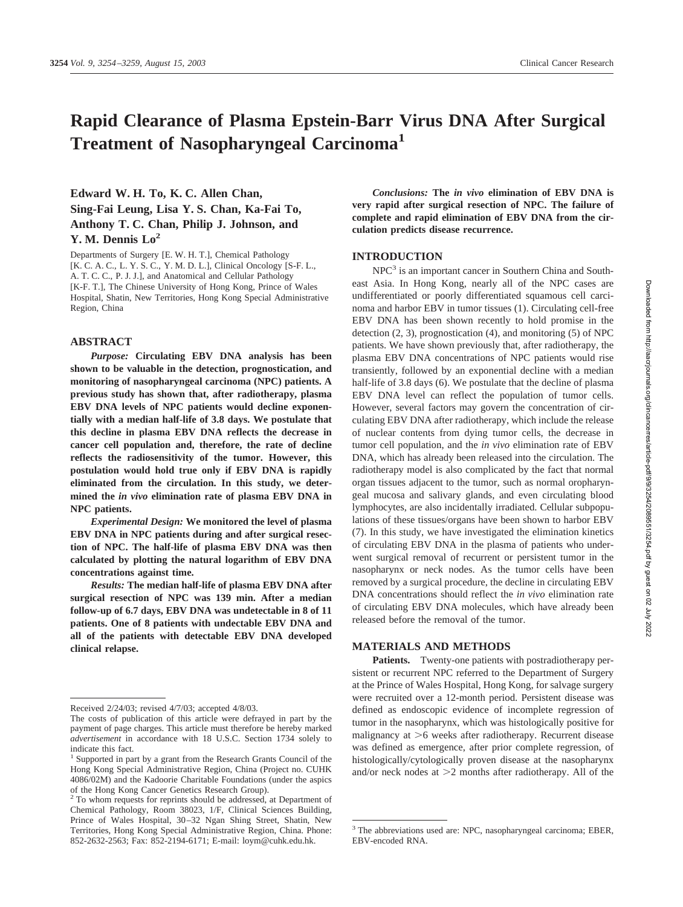# **Rapid Clearance of Plasma Epstein-Barr Virus DNA After Surgical Treatment of Nasopharyngeal Carcinoma1**

## **Edward W. H. To, K. C. Allen Chan, Sing-Fai Leung, Lisa Y. S. Chan, Ka-Fai To, Anthony T. C. Chan, Philip J. Johnson, and Y. M. Dennis Lo2**

Departments of Surgery [E. W. H. T.], Chemical Pathology [K. C. A. C., L. Y. S. C., Y. M. D. L.], Clinical Oncology [S-F. L., A. T. C. C., P. J. J.], and Anatomical and Cellular Pathology [K-F. T.], The Chinese University of Hong Kong, Prince of Wales Hospital, Shatin, New Territories, Hong Kong Special Administrative Region, China

#### **ABSTRACT**

*Purpose:* **Circulating EBV DNA analysis has been shown to be valuable in the detection, prognostication, and monitoring of nasopharyngeal carcinoma (NPC) patients. A previous study has shown that, after radiotherapy, plasma EBV DNA levels of NPC patients would decline exponentially with a median half-life of 3.8 days. We postulate that this decline in plasma EBV DNA reflects the decrease in cancer cell population and, therefore, the rate of decline reflects the radiosensitivity of the tumor. However, this postulation would hold true only if EBV DNA is rapidly eliminated from the circulation. In this study, we determined the** *in vivo* **elimination rate of plasma EBV DNA in NPC patients.**

*Experimental Design:* **We monitored the level of plasma EBV DNA in NPC patients during and after surgical resection of NPC. The half-life of plasma EBV DNA was then calculated by plotting the natural logarithm of EBV DNA concentrations against time.**

*Results:* **The median half-life of plasma EBV DNA after surgical resection of NPC was 139 min. After a median follow-up of 6.7 days, EBV DNA was undetectable in 8 of 11 patients. One of 8 patients with undectable EBV DNA and all of the patients with detectable EBV DNA developed clinical relapse.**

*Conclusions:* **The** *in vivo* **elimination of EBV DNA is very rapid after surgical resection of NPC. The failure of complete and rapid elimination of EBV DNA from the circulation predicts disease recurrence.**

#### **INTRODUCTION**

NPC<sup>3</sup> is an important cancer in Southern China and Southeast Asia. In Hong Kong, nearly all of the NPC cases are undifferentiated or poorly differentiated squamous cell carcinoma and harbor EBV in tumor tissues (1). Circulating cell-free EBV DNA has been shown recently to hold promise in the detection (2, 3), prognostication (4), and monitoring (5) of NPC patients. We have shown previously that, after radiotherapy, the plasma EBV DNA concentrations of NPC patients would rise transiently, followed by an exponential decline with a median half-life of 3.8 days (6). We postulate that the decline of plasma EBV DNA level can reflect the population of tumor cells. However, several factors may govern the concentration of circulating EBV DNA after radiotherapy, which include the release of nuclear contents from dying tumor cells, the decrease in tumor cell population, and the *in vivo* elimination rate of EBV DNA, which has already been released into the circulation. The radiotherapy model is also complicated by the fact that normal organ tissues adjacent to the tumor, such as normal oropharyngeal mucosa and salivary glands, and even circulating blood lymphocytes, are also incidentally irradiated. Cellular subpopulations of these tissues/organs have been shown to harbor EBV (7). In this study, we have investigated the elimination kinetics of circulating EBV DNA in the plasma of patients who underwent surgical removal of recurrent or persistent tumor in the nasopharynx or neck nodes. As the tumor cells have been removed by a surgical procedure, the decline in circulating EBV DNA concentrations should reflect the *in vivo* elimination rate of circulating EBV DNA molecules, which have already been released before the removal of the tumor.

#### **MATERIALS AND METHODS**

**Patients.** Twenty-one patients with postradiotherapy persistent or recurrent NPC referred to the Department of Surgery at the Prince of Wales Hospital, Hong Kong, for salvage surgery were recruited over a 12-month period. Persistent disease was defined as endoscopic evidence of incomplete regression of tumor in the nasopharynx, which was histologically positive for malignancy at  $>6$  weeks after radiotherapy. Recurrent disease was defined as emergence, after prior complete regression, of histologically/cytologically proven disease at the nasopharynx and/or neck nodes at  $>2$  months after radiotherapy. All of the

Received 2/24/03; revised 4/7/03; accepted 4/8/03.

The costs of publication of this article were defrayed in part by the payment of page charges. This article must therefore be hereby marked *advertisement* in accordance with 18 U.S.C. Section 1734 solely to indicate this fact.

<sup>&</sup>lt;sup>1</sup> Supported in part by a grant from the Research Grants Council of the Hong Kong Special Administrative Region, China (Project no. CUHK 4086/02M) and the Kadoorie Charitable Foundations (under the aspics of the Hong Kong Cancer Genetics Research Group).

<sup>&</sup>lt;sup>2</sup> To whom requests for reprints should be addressed, at Department of Chemical Pathology, Room 38023, 1/F, Clinical Sciences Building, Prince of Wales Hospital, 30–32 Ngan Shing Street, Shatin, New Territories, Hong Kong Special Administrative Region, China. Phone: 852-2632-2563; Fax: 852-2194-6171; E-mail: loym@cuhk.edu.hk.

<sup>3</sup> The abbreviations used are: NPC, nasopharyngeal carcinoma; EBER, EBV-encoded RNA.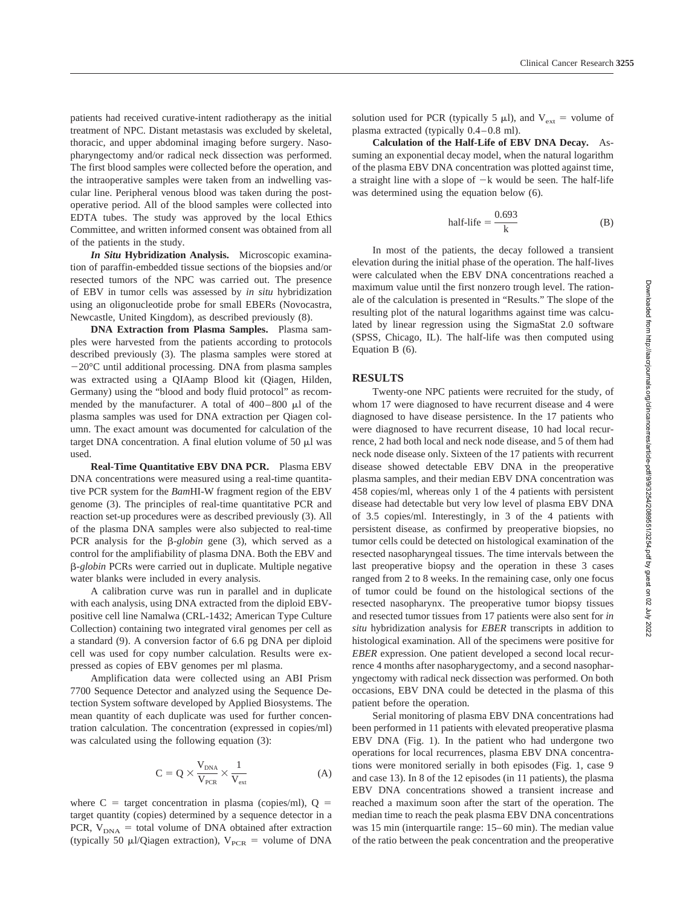patients had received curative-intent radiotherapy as the initial treatment of NPC. Distant metastasis was excluded by skeletal, thoracic, and upper abdominal imaging before surgery. Nasopharyngectomy and/or radical neck dissection was performed. The first blood samples were collected before the operation, and the intraoperative samples were taken from an indwelling vascular line. Peripheral venous blood was taken during the postoperative period. All of the blood samples were collected into EDTA tubes. The study was approved by the local Ethics Committee, and written informed consent was obtained from all of the patients in the study.

*In Situ* **Hybridization Analysis.** Microscopic examination of paraffin-embedded tissue sections of the biopsies and/or resected tumors of the NPC was carried out. The presence of EBV in tumor cells was assessed by *in situ* hybridization using an oligonucleotide probe for small EBERs (Novocastra, Newcastle, United Kingdom), as described previously (8).

**DNA Extraction from Plasma Samples.** Plasma samples were harvested from the patients according to protocols described previously (3). The plasma samples were stored at -20°C until additional processing. DNA from plasma samples was extracted using a QIAamp Blood kit (Qiagen, Hilden, Germany) using the "blood and body fluid protocol" as recommended by the manufacturer. A total of  $400-800 \mu l$  of the plasma samples was used for DNA extraction per Qiagen column. The exact amount was documented for calculation of the target DNA concentration. A final elution volume of  $50 \mu$ l was used.

**Real-Time Quantitative EBV DNA PCR.** Plasma EBV DNA concentrations were measured using a real-time quantitative PCR system for the *Bam*HI-W fragment region of the EBV genome (3). The principles of real-time quantitative PCR and reaction set-up procedures were as described previously (3). All of the plasma DNA samples were also subjected to real-time PCR analysis for the  $\beta$ -*globin* gene (3), which served as a control for the amplifiability of plasma DNA. Both the EBV and *-globin* PCRs were carried out in duplicate. Multiple negative water blanks were included in every analysis.

A calibration curve was run in parallel and in duplicate with each analysis, using DNA extracted from the diploid EBVpositive cell line Namalwa (CRL-1432; American Type Culture Collection) containing two integrated viral genomes per cell as a standard (9). A conversion factor of 6.6 pg DNA per diploid cell was used for copy number calculation. Results were expressed as copies of EBV genomes per ml plasma.

Amplification data were collected using an ABI Prism 7700 Sequence Detector and analyzed using the Sequence Detection System software developed by Applied Biosystems. The mean quantity of each duplicate was used for further concentration calculation. The concentration (expressed in copies/ml) was calculated using the following equation (3):

$$
C = Q \times \frac{V_{DNA}}{V_{PCR}} \times \frac{1}{V_{ext}}
$$
 (A)

where  $C =$  target concentration in plasma (copies/ml),  $Q =$ target quantity (copies) determined by a sequence detector in a PCR,  $V_{DNA}$  = total volume of DNA obtained after extraction (typically 50  $\mu$ l/Qiagen extraction), V<sub>PCR</sub> = volume of DNA solution used for PCR (typically 5  $\mu$ l), and V<sub>ext</sub> = volume of plasma extracted (typically 0.4–0.8 ml).

**Calculation of the Half-Life of EBV DNA Decay.** Assuming an exponential decay model, when the natural logarithm of the plasma EBV DNA concentration was plotted against time, a straight line with a slope of  $-k$  would be seen. The half-life was determined using the equation below (6).

half-life = 
$$
\frac{0.693}{k}
$$
 (B)

In most of the patients, the decay followed a transient elevation during the initial phase of the operation. The half-lives were calculated when the EBV DNA concentrations reached a maximum value until the first nonzero trough level. The rationale of the calculation is presented in "Results." The slope of the resulting plot of the natural logarithms against time was calculated by linear regression using the SigmaStat 2.0 software (SPSS, Chicago, IL). The half-life was then computed using Equation B (6).

#### **RESULTS**

Twenty-one NPC patients were recruited for the study, of whom 17 were diagnosed to have recurrent disease and 4 were diagnosed to have disease persistence. In the 17 patients who were diagnosed to have recurrent disease, 10 had local recurrence, 2 had both local and neck node disease, and 5 of them had neck node disease only. Sixteen of the 17 patients with recurrent disease showed detectable EBV DNA in the preoperative plasma samples, and their median EBV DNA concentration was 458 copies/ml, whereas only 1 of the 4 patients with persistent disease had detectable but very low level of plasma EBV DNA of 3.5 copies/ml. Interestingly, in 3 of the 4 patients with persistent disease, as confirmed by preoperative biopsies, no tumor cells could be detected on histological examination of the resected nasopharyngeal tissues. The time intervals between the last preoperative biopsy and the operation in these 3 cases ranged from 2 to 8 weeks. In the remaining case, only one focus of tumor could be found on the histological sections of the resected nasopharynx. The preoperative tumor biopsy tissues and resected tumor tissues from 17 patients were also sent for *in situ* hybridization analysis for *EBER* transcripts in addition to histological examination. All of the specimens were positive for *EBER* expression. One patient developed a second local recurrence 4 months after nasopharygectomy, and a second nasopharyngectomy with radical neck dissection was performed. On both occasions, EBV DNA could be detected in the plasma of this patient before the operation.

Serial monitoring of plasma EBV DNA concentrations had been performed in 11 patients with elevated preoperative plasma EBV DNA (Fig. 1). In the patient who had undergone two operations for local recurrences, plasma EBV DNA concentrations were monitored serially in both episodes (Fig. 1, case 9 and case 13). In 8 of the 12 episodes (in 11 patients), the plasma EBV DNA concentrations showed a transient increase and reached a maximum soon after the start of the operation. The median time to reach the peak plasma EBV DNA concentrations was 15 min (interquartile range: 15–60 min). The median value of the ratio between the peak concentration and the preoperative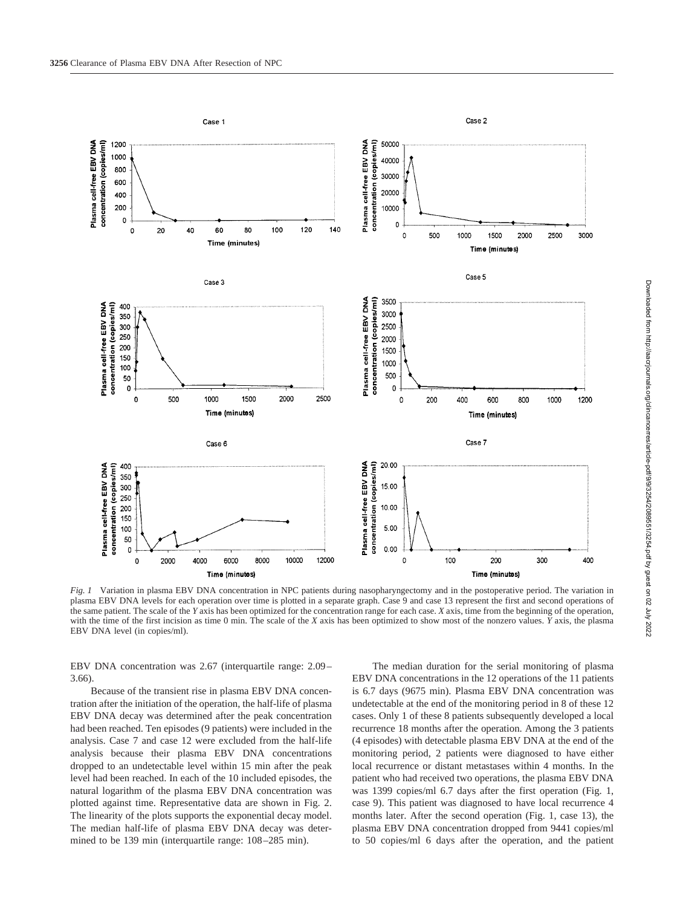

*Fig. 1* Variation in plasma EBV DNA concentration in NPC patients during nasopharyngectomy and in the postoperative period. The variation in plasma EBV DNA levels for each operation over time is plotted in a separate graph. Case 9 and case 13 represent the first and second operations of the same patient. The scale of the *Y* axis has been optimized for the concentration range for each case. *X* axis, time from the beginning of the operation, with the time of the first incision as time 0 min. The scale of the *X* axis has been optimized to show most of the nonzero values. *Y* axis, the plasma EBV DNA level (in copies/ml).

EBV DNA concentration was 2.67 (interquartile range: 2.09– 3.66).

Because of the transient rise in plasma EBV DNA concentration after the initiation of the operation, the half-life of plasma EBV DNA decay was determined after the peak concentration had been reached. Ten episodes (9 patients) were included in the analysis. Case 7 and case 12 were excluded from the half-life analysis because their plasma EBV DNA concentrations dropped to an undetectable level within 15 min after the peak level had been reached. In each of the 10 included episodes, the natural logarithm of the plasma EBV DNA concentration was plotted against time. Representative data are shown in Fig. 2. The linearity of the plots supports the exponential decay model. The median half-life of plasma EBV DNA decay was determined to be 139 min (interquartile range: 108–285 min).

The median duration for the serial monitoring of plasma EBV DNA concentrations in the 12 operations of the 11 patients is 6.7 days (9675 min). Plasma EBV DNA concentration was undetectable at the end of the monitoring period in 8 of these 12 cases. Only 1 of these 8 patients subsequently developed a local recurrence 18 months after the operation. Among the 3 patients (4 episodes) with detectable plasma EBV DNA at the end of the monitoring period, 2 patients were diagnosed to have either local recurrence or distant metastases within 4 months. In the patient who had received two operations, the plasma EBV DNA was 1399 copies/ml 6.7 days after the first operation (Fig. 1, case 9). This patient was diagnosed to have local recurrence 4 months later. After the second operation (Fig. 1, case 13), the plasma EBV DNA concentration dropped from 9441 copies/ml to 50 copies/ml 6 days after the operation, and the patient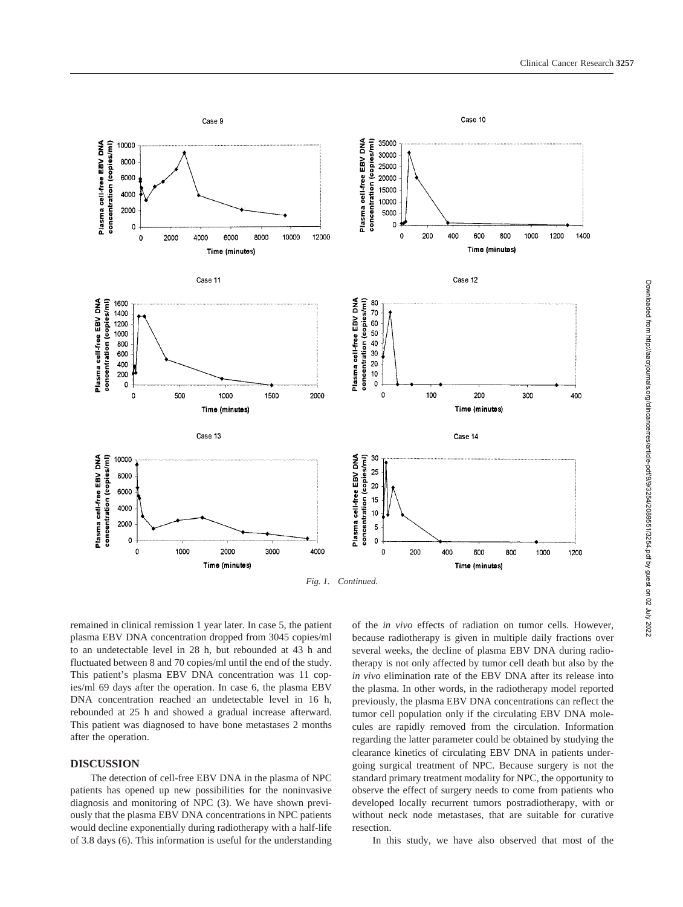

Downloaded from http://aacrjournals.org/clincancerres/article-pdf/9/9/3254/2089551/3254.pdf by guest on 02 July 2022 Downloaded from http://aacrjournals.org/clincancerres/article-pdf/9/9/3254/2089551/3254.pdf by guest on 02 July 2022

remained in clinical remission 1 year later. In case 5, the patient plasma EBV DNA concentration dropped from 3045 copies/ml to an undetectable level in 28 h, but rebounded at 43 h and fluctuated between 8 and 70 copies/ml until the end of the study. This patient's plasma EBV DNA concentration was 11 copies/ml 69 days after the operation. In case 6, the plasma EBV DNA concentration reached an undetectable level in 16 h, rebounded at 25 h and showed a gradual increase afterward. This patient was diagnosed to have bone metastases 2 months after the operation.

### **DISCUSSION**

The detection of cell-free EBV DNA in the plasma of NPC patients has opened up new possibilities for the noninvasive diagnosis and monitoring of NPC (3). We have shown previously that the plasma EBV DNA concentrations in NPC patients would decline exponentially during radiotherapy with a half-life of 3.8 days (6). This information is useful for the understanding

of the *in vivo* effects of radiation on tumor cells. However, because radiotherapy is given in multiple daily fractions over several weeks, the decline of plasma EBV DNA during radiotherapy is not only affected by tumor cell death but also by the *in vivo* elimination rate of the EBV DNA after its release into the plasma. In other words, in the radiotherapy model reported previously, the plasma EBV DNA concentrations can reflect the tumor cell population only if the circulating EBV DNA molecules are rapidly removed from the circulation. Information regarding the latter parameter could be obtained by studying the clearance kinetics of circulating EBV DNA in patients undergoing surgical treatment of NPC. Because surgery is not the standard primary treatment modality for NPC, the opportunity to observe the effect of surgery needs to come from patients who developed locally recurrent tumors postradiotherapy, with or without neck node metastases, that are suitable for curative resection.

In this study, we have also observed that most of the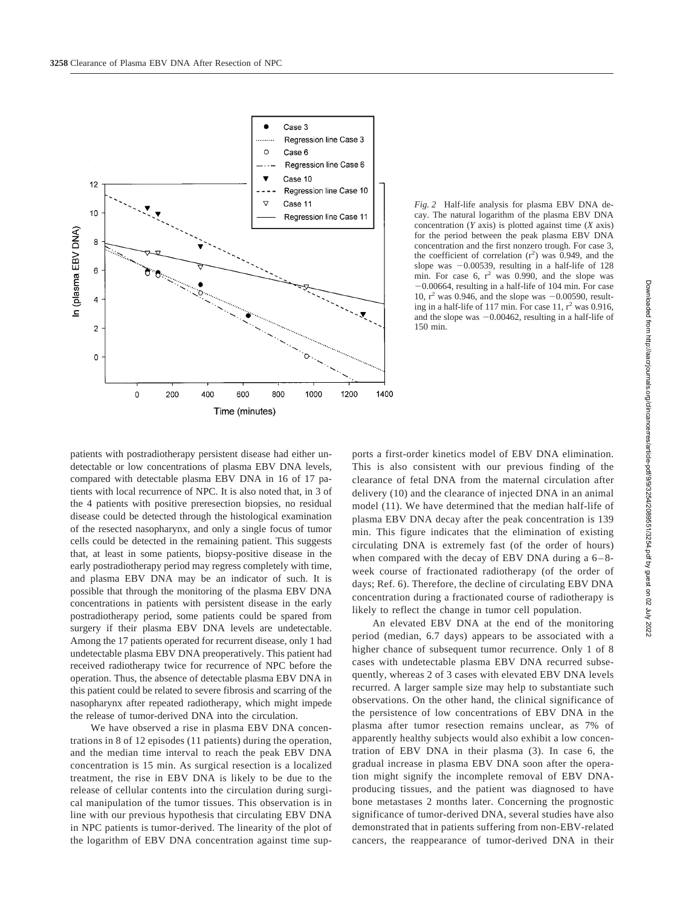

*Fig. 2* Half-life analysis for plasma EBV DNA decay. The natural logarithm of the plasma EBV DNA concentration (*Y* axis) is plotted against time (*X* axis) for the period between the peak plasma EBV DNA concentration and the first nonzero trough. For case 3, the coefficient of correlation  $(r^2)$  was 0.949, and the slope was  $-0.00539$ , resulting in a half-life of 128 min. For case 6,  $r^2$  was 0.990, and the slope was -0.00664, resulting in a half-life of 104 min. For case 10,  $r^2$  was 0.946, and the slope was  $-0.00590$ , resulting in a half-life of 117 min. For case  $11$ ,  $r^2$  was 0.916, and the slope was -0.00462, resulting in a half-life of 150 min.

patients with postradiotherapy persistent disease had either undetectable or low concentrations of plasma EBV DNA levels, compared with detectable plasma EBV DNA in 16 of 17 patients with local recurrence of NPC. It is also noted that, in 3 of the 4 patients with positive preresection biopsies, no residual disease could be detected through the histological examination of the resected nasopharynx, and only a single focus of tumor cells could be detected in the remaining patient. This suggests that, at least in some patients, biopsy-positive disease in the early postradiotherapy period may regress completely with time, and plasma EBV DNA may be an indicator of such. It is possible that through the monitoring of the plasma EBV DNA concentrations in patients with persistent disease in the early postradiotherapy period, some patients could be spared from surgery if their plasma EBV DNA levels are undetectable. Among the 17 patients operated for recurrent disease, only 1 had undetectable plasma EBV DNA preoperatively. This patient had received radiotherapy twice for recurrence of NPC before the operation. Thus, the absence of detectable plasma EBV DNA in this patient could be related to severe fibrosis and scarring of the nasopharynx after repeated radiotherapy, which might impede the release of tumor-derived DNA into the circulation.

We have observed a rise in plasma EBV DNA concentrations in 8 of 12 episodes (11 patients) during the operation, and the median time interval to reach the peak EBV DNA concentration is 15 min. As surgical resection is a localized treatment, the rise in EBV DNA is likely to be due to the release of cellular contents into the circulation during surgical manipulation of the tumor tissues. This observation is in line with our previous hypothesis that circulating EBV DNA in NPC patients is tumor-derived. The linearity of the plot of the logarithm of EBV DNA concentration against time supports a first-order kinetics model of EBV DNA elimination. This is also consistent with our previous finding of the clearance of fetal DNA from the maternal circulation after delivery (10) and the clearance of injected DNA in an animal model (11). We have determined that the median half-life of plasma EBV DNA decay after the peak concentration is 139 min. This figure indicates that the elimination of existing circulating DNA is extremely fast (of the order of hours) when compared with the decay of EBV DNA during a  $6-8$ week course of fractionated radiotherapy (of the order of days; Ref. 6). Therefore, the decline of circulating EBV DNA concentration during a fractionated course of radiotherapy is likely to reflect the change in tumor cell population.

An elevated EBV DNA at the end of the monitoring period (median, 6.7 days) appears to be associated with a higher chance of subsequent tumor recurrence. Only 1 of 8 cases with undetectable plasma EBV DNA recurred subsequently, whereas 2 of 3 cases with elevated EBV DNA levels recurred. A larger sample size may help to substantiate such observations. On the other hand, the clinical significance of the persistence of low concentrations of EBV DNA in the plasma after tumor resection remains unclear, as 7% of apparently healthy subjects would also exhibit a low concentration of EBV DNA in their plasma (3). In case 6, the gradual increase in plasma EBV DNA soon after the operation might signify the incomplete removal of EBV DNAproducing tissues, and the patient was diagnosed to have bone metastases 2 months later. Concerning the prognostic significance of tumor-derived DNA, several studies have also demonstrated that in patients suffering from non-EBV-related cancers, the reappearance of tumor-derived DNA in their